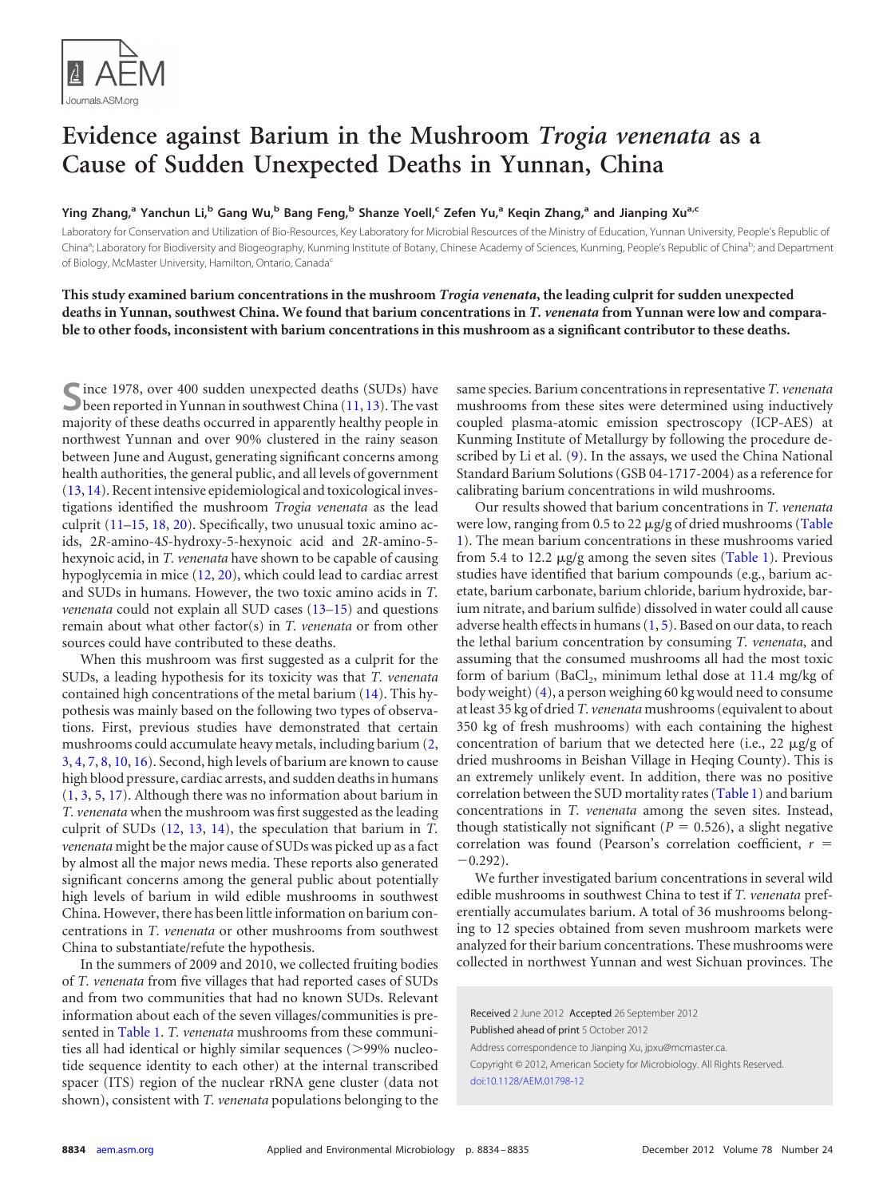

## **Evidence against Barium in the Mushroom** *Trogia venenata* **as a Cause of Sudden Unexpected Deaths in Yunnan, China**

Ying Zhang,<sup>a</sup> Yanchun Li,<sup>b</sup> Gang Wu,<sup>b</sup> Bang Feng,<sup>b</sup> Shanze Yoell,<sup>c</sup> Zefen Yu,<sup>a</sup> Keqin Zhang,<sup>a</sup> and Jianping Xu<sup>a,c</sup>

Laboratory for Conservation and Utilization of Bio-Resources, Key Laboratory for Microbial Resources of the Ministry of Education, Yunnan University, People's Republic of China<sup>a</sup>; Laboratory for Biodiversity and Biogeography, Kunming Institute of Botany, Chinese Academy of Sciences, Kunming, People's Republic of China<sup>b</sup>; and Department of Biology, McMaster University, Hamilton, Ontario, Canada<sup>c</sup>

**This study examined barium concentrations in the mushroom** *Trogia venenata***, the leading culprit for sudden unexpected deaths in Yunnan, southwest China. We found that barium concentrations in** *T. venenata* **from Yunnan were low and comparable to other foods, inconsistent with barium concentrations in this mushroom as a significant contributor to these deaths.**

Since 1978, over 400 sudden unexpected deaths (SUDs) have<br>been reported in Yunnan in southwest China [\(11,](#page-1-0) [13\)](#page-1-1). The vast majority of these deaths occurred in apparently healthy people in northwest Yunnan and over 90% clustered in the rainy season between June and August, generating significant concerns among health authorities, the general public, and all levels of government [\(13,](#page-1-1) [14\)](#page-1-2). Recent intensive epidemiological and toxicological investigations identified the mushroom *Trogia venenata* as the lead culprit [\(11–](#page-1-0)[15,](#page-1-3) [18,](#page-1-4) [20\)](#page-1-5). Specifically, two unusual toxic amino acids, 2*R*-amino-4*S*-hydroxy-5-hexynoic acid and 2*R*-amino-5 hexynoic acid, in *T. venenata* have shown to be capable of causing hypoglycemia in mice [\(12,](#page-1-6) [20\)](#page-1-5), which could lead to cardiac arrest and SUDs in humans. However, the two toxic amino acids in *T. venenata* could not explain all SUD cases [\(13](#page-1-1)[–15\)](#page-1-3) and questions remain about what other factor(s) in *T. venenata* or from other sources could have contributed to these deaths.

When this mushroom was first suggested as a culprit for the SUDs, a leading hypothesis for its toxicity was that *T. venenata* contained high concentrations of the metal barium [\(14\)](#page-1-2). This hypothesis was mainly based on the following two types of observations. First, previous studies have demonstrated that certain mushrooms could accumulate heavy metals, including barium [\(2,](#page-1-7) [3,](#page-1-8) [4,](#page-1-9) [7,](#page-1-10) [8,](#page-1-11) [10,](#page-1-12) [16\)](#page-1-13). Second, high levels of barium are known to cause high blood pressure, cardiac arrests, and sudden deaths in humans [\(1,](#page-1-14) [3,](#page-1-8) [5,](#page-1-15) [17\)](#page-1-16). Although there was no information about barium in *T. venenata* when the mushroom was first suggested as the leading culprit of SUDs [\(12,](#page-1-6) [13,](#page-1-1) [14\)](#page-1-2), the speculation that barium in *T. venenata* might be the major cause of SUDs was picked up as a fact by almost all the major news media. These reports also generated significant concerns among the general public about potentially high levels of barium in wild edible mushrooms in southwest China. However, there has been little information on barium concentrations in *T. venenata* or other mushrooms from southwest China to substantiate/refute the hypothesis.

In the summers of 2009 and 2010, we collected fruiting bodies of *T. venenata* from five villages that had reported cases of SUDs and from two communities that had no known SUDs. Relevant information about each of the seven villages/communities is presented in [Table 1.](#page-1-17) *T. venenata* mushrooms from these communities all had identical or highly similar sequences (>99% nucleotide sequence identity to each other) at the internal transcribed spacer (ITS) region of the nuclear rRNA gene cluster (data not shown), consistent with *T. venenata* populations belonging to the same species. Barium concentrations in representative *T. venenata* mushrooms from these sites were determined using inductively coupled plasma-atomic emission spectroscopy (ICP-AES) at Kunming Institute of Metallurgy by following the procedure de-scribed by Li et al. [\(9\)](#page-1-18). In the assays, we used the China National Standard Barium Solutions (GSB 04-1717-2004) as a reference for calibrating barium concentrations in wild mushrooms.

Our results showed that barium concentrations in *T. venenata* were low, ranging from 0.5 to 22 µg/g of dried mushrooms [\(Table](#page-1-17) [1\)](#page-1-17). The mean barium concentrations in these mushrooms varied from 5.4 to 12.2 µg/g among the seven sites [\(Table 1\)](#page-1-17). Previous studies have identified that barium compounds (e.g., barium acetate, barium carbonate, barium chloride, barium hydroxide, barium nitrate, and barium sulfide) dissolved in water could all cause adverse health effects in humans  $(1, 5)$  $(1, 5)$  $(1, 5)$ . Based on our data, to reach the lethal barium concentration by consuming *T. venenata*, and assuming that the consumed mushrooms all had the most toxic form of barium (BaCl<sub>2</sub>, minimum lethal dose at 11.4 mg/kg of body weight) [\(4\)](#page-1-9), a person weighing 60 kg would need to consume at least 35 kg of dried *T. venenata* mushrooms (equivalent to about 350 kg of fresh mushrooms) with each containing the highest concentration of barium that we detected here (i.e., 22  $\mu$ g/g of dried mushrooms in Beishan Village in Heqing County). This is an extremely unlikely event. In addition, there was no positive correlation between the SUD mortality rates [\(Table 1\)](#page-1-17) and barium concentrations in *T. venenata* among the seven sites. Instead, though statistically not significant ( $P = 0.526$ ), a slight negative correlation was found (Pearson's correlation coefficient, *r*  $-0.292$ ).

We further investigated barium concentrations in several wild edible mushrooms in southwest China to test if *T. venenata* preferentially accumulates barium. A total of 36 mushrooms belonging to 12 species obtained from seven mushroom markets were analyzed for their barium concentrations. These mushrooms were collected in northwest Yunnan and west Sichuan provinces. The

Received 2 June 2012 Accepted 26 September 2012 Published ahead of print 5 October 2012 Address correspondence to Jianping Xu, jpxu@mcmaster.ca. Copyright © 2012, American Society for Microbiology. All Rights Reserved. [doi:10.1128/AEM.01798-12](http://dx.doi.org/10.1128/AEM.01798-12)